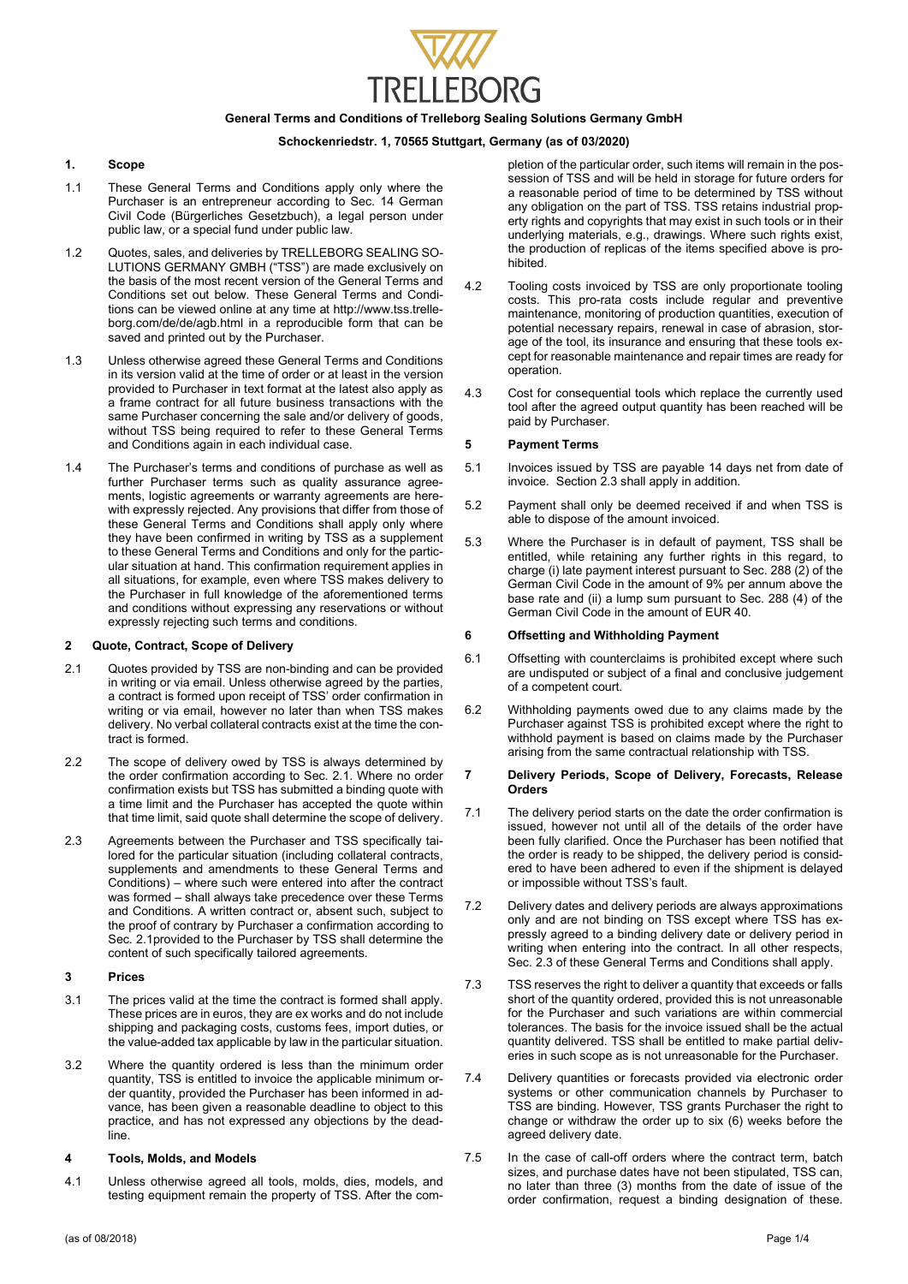

### **General Terms and Conditions of Trelleborg Sealing Solutions Germany GmbH**

# **Schockenriedstr. 1, 70565 Stuttgart, Germany (as of 03/2020)**

### **1. Scope**

- 1.1 These General Terms and Conditions apply only where the Purchaser is an entrepreneur according to Sec. 14 German Civil Code (Bürgerliches Gesetzbuch), a legal person under public law, or a special fund under public law.
- 1.2 Quotes, sales, and deliveries by TRELLEBORG SEALING SO-LUTIONS GERMANY GMBH ("TSS") are made exclusively on the basis of the most recent version of the General Terms and Conditions set out below. These General Terms and Conditions can be viewed online at any time at http://www.tss.trelleborg.com/de/de/agb.html in a reproducible form that can be saved and printed out by the Purchaser.
- 1.3 Unless otherwise agreed these General Terms and Conditions in its version valid at the time of order or at least in the version provided to Purchaser in text format at the latest also apply as a frame contract for all future business transactions with the same Purchaser concerning the sale and/or delivery of goods, without TSS being required to refer to these General Terms and Conditions again in each individual case.
- 1.4 The Purchaser's terms and conditions of purchase as well as further Purchaser terms such as quality assurance agreements, logistic agreements or warranty agreements are herewith expressly rejected. Any provisions that differ from those of these General Terms and Conditions shall apply only where they have been confirmed in writing by TSS as a supplement to these General Terms and Conditions and only for the particular situation at hand. This confirmation requirement applies in all situations, for example, even where TSS makes delivery to the Purchaser in full knowledge of the aforementioned terms and conditions without expressing any reservations or without expressly rejecting such terms and conditions.

### **2 Quote, Contract, Scope of Delivery**

- 2.1 Quotes provided by TSS are non-binding and can be provided in writing or via email. Unless otherwise agreed by the parties, a contract is formed upon receipt of TSS' order confirmation in writing or via email, however no later than when TSS makes delivery. No verbal collateral contracts exist at the time the contract is formed.
- 2.2 The scope of delivery owed by TSS is always determined by the order confirmation according to Sec. 2.1. Where no order confirmation exists but TSS has submitted a binding quote with a time limit and the Purchaser has accepted the quote within that time limit, said quote shall determine the scope of delivery.
- 2.3 Agreements between the Purchaser and TSS specifically tailored for the particular situation (including collateral contracts, supplements and amendments to these General Terms and Conditions) – where such were entered into after the contract was formed – shall always take precedence over these Terms and Conditions. A written contract or, absent such, subject to the proof of contrary by Purchaser a confirmation according to Sec. 2.1provided to the Purchaser by TSS shall determine the content of such specifically tailored agreements.

# **3 Prices**

- 3.1 The prices valid at the time the contract is formed shall apply. These prices are in euros, they are ex works and do not include shipping and packaging costs, customs fees, import duties, or the value-added tax applicable by law in the particular situation.
- 3.2 Where the quantity ordered is less than the minimum order quantity, TSS is entitled to invoice the applicable minimum order quantity, provided the Purchaser has been informed in advance, has been given a reasonable deadline to object to this practice, and has not expressed any objections by the deadline.

#### **4 Tools, Molds, and Models**

4.1 Unless otherwise agreed all tools, molds, dies, models, and testing equipment remain the property of TSS. After the com-

pletion of the particular order, such items will remain in the possession of TSS and will be held in storage for future orders for a reasonable period of time to be determined by TSS without any obligation on the part of TSS. TSS retains industrial property rights and copyrights that may exist in such tools or in their underlying materials, e.g., drawings. Where such rights exist, the production of replicas of the items specified above is prohibited.

- 4.2 Tooling costs invoiced by TSS are only proportionate tooling costs. This pro-rata costs include regular and preventive maintenance, monitoring of production quantities, execution of potential necessary repairs, renewal in case of abrasion, storage of the tool, its insurance and ensuring that these tools except for reasonable maintenance and repair times are ready for operation.
- 4.3 Cost for consequential tools which replace the currently used tool after the agreed output quantity has been reached will be paid by Purchaser.

### **5 Payment Terms**

- 5.1 Invoices issued by TSS are payable 14 days net from date of invoice. Section 2.3 shall apply in addition.
- 5.2 Payment shall only be deemed received if and when TSS is able to dispose of the amount invoiced.
- 5.3 Where the Purchaser is in default of payment, TSS shall be entitled, while retaining any further rights in this regard, to charge (i) late payment interest pursuant to Sec. 288 (2) of the German Civil Code in the amount of 9% per annum above the base rate and (ii) a lump sum pursuant to Sec. 288 (4) of the German Civil Code in the amount of EUR 40.

### **6 Offsetting and Withholding Payment**

- 6.1 Offsetting with counterclaims is prohibited except where such are undisputed or subject of a final and conclusive judgement of a competent court.
- 6.2 Withholding payments owed due to any claims made by the Purchaser against TSS is prohibited except where the right to withhold payment is based on claims made by the Purchaser arising from the same contractual relationship with TSS.

### **7 Delivery Periods, Scope of Delivery, Forecasts, Release Orders**

- 7.1 The delivery period starts on the date the order confirmation is issued, however not until all of the details of the order have been fully clarified. Once the Purchaser has been notified that the order is ready to be shipped, the delivery period is considered to have been adhered to even if the shipment is delayed or impossible without TSS's fault.
- 7.2 Delivery dates and delivery periods are always approximations only and are not binding on TSS except where TSS has expressly agreed to a binding delivery date or delivery period in writing when entering into the contract. In all other respects, Sec. 2.3 of these General Terms and Conditions shall apply.
- 7.3 TSS reserves the right to deliver a quantity that exceeds or falls short of the quantity ordered, provided this is not unreasonable for the Purchaser and such variations are within commercial tolerances. The basis for the invoice issued shall be the actual quantity delivered. TSS shall be entitled to make partial deliveries in such scope as is not unreasonable for the Purchaser.
- 7.4 Delivery quantities or forecasts provided via electronic order systems or other communication channels by Purchaser to TSS are binding. However, TSS grants Purchaser the right to change or withdraw the order up to six (6) weeks before the agreed delivery date.
- 7.5 In the case of call-off orders where the contract term, batch sizes, and purchase dates have not been stipulated, TSS can, no later than three (3) months from the date of issue of the order confirmation, request a binding designation of these.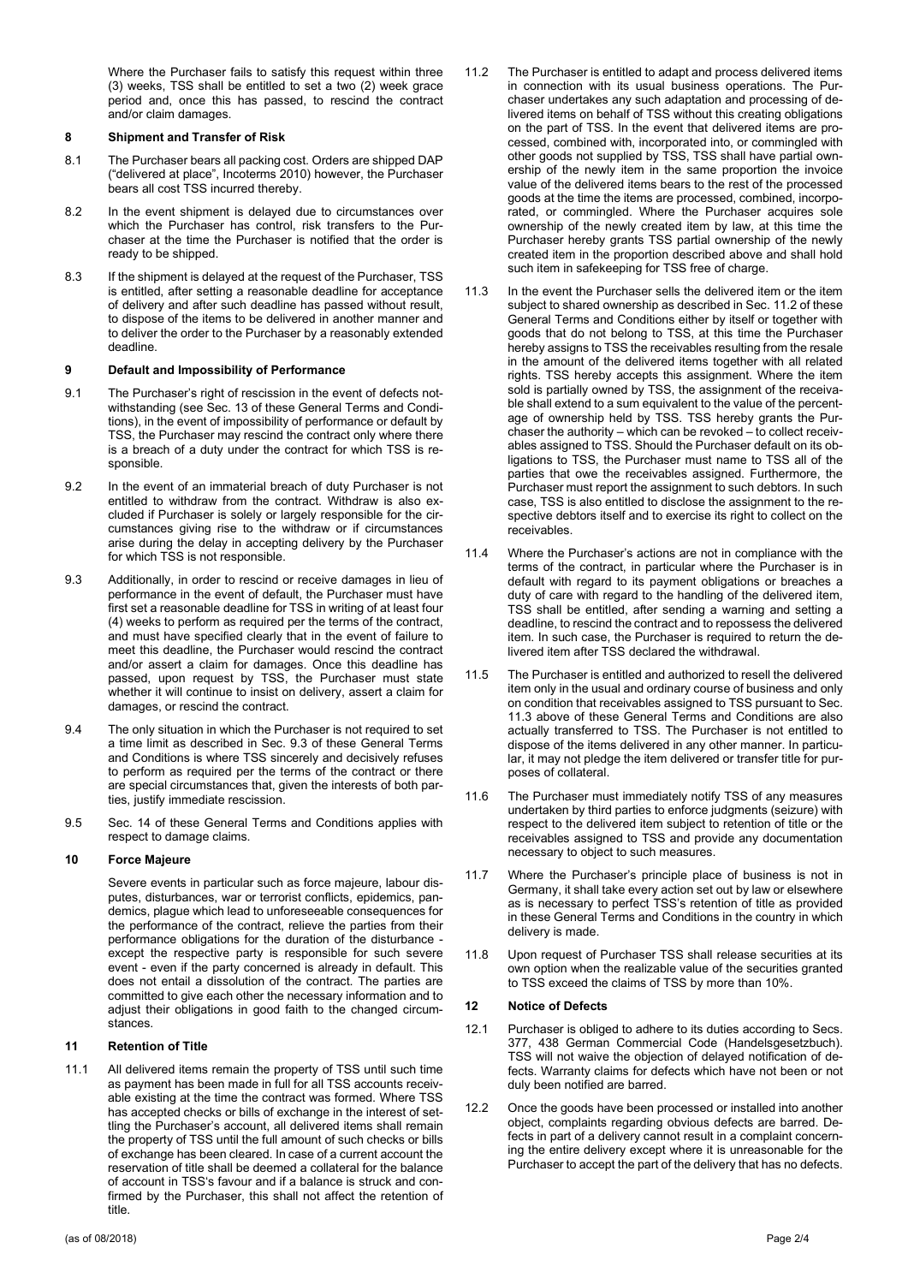Where the Purchaser fails to satisfy this request within three (3) weeks, TSS shall be entitled to set a two (2) week grace period and, once this has passed, to rescind the contract and/or claim damages.

# **8 Shipment and Transfer of Risk**

- 8.1 The Purchaser bears all packing cost. Orders are shipped DAP ("delivered at place", Incoterms 2010) however, the Purchaser bears all cost TSS incurred thereby.
- 8.2 In the event shipment is delayed due to circumstances over which the Purchaser has control, risk transfers to the Purchaser at the time the Purchaser is notified that the order is ready to be shipped.
- 8.3 If the shipment is delayed at the request of the Purchaser, TSS is entitled, after setting a reasonable deadline for acceptance of delivery and after such deadline has passed without result, to dispose of the items to be delivered in another manner and to deliver the order to the Purchaser by a reasonably extended deadline.

## **9 Default and Impossibility of Performance**

- 9.1 The Purchaser's right of rescission in the event of defects notwithstanding (see Sec. 13 of these General Terms and Conditions), in the event of impossibility of performance or default by TSS, the Purchaser may rescind the contract only where there is a breach of a duty under the contract for which TSS is resnonsible
- 9.2 In the event of an immaterial breach of duty Purchaser is not entitled to withdraw from the contract. Withdraw is also excluded if Purchaser is solely or largely responsible for the circumstances giving rise to the withdraw or if circumstances arise during the delay in accepting delivery by the Purchaser for which TSS is not responsible.
- 9.3 Additionally, in order to rescind or receive damages in lieu of performance in the event of default, the Purchaser must have first set a reasonable deadline for TSS in writing of at least four (4) weeks to perform as required per the terms of the contract, and must have specified clearly that in the event of failure to meet this deadline, the Purchaser would rescind the contract and/or assert a claim for damages. Once this deadline has passed, upon request by TSS, the Purchaser must state whether it will continue to insist on delivery, assert a claim for damages, or rescind the contract.
- 9.4 The only situation in which the Purchaser is not required to set a time limit as described in Sec. 9.3 of these General Terms and Conditions is where TSS sincerely and decisively refuses to perform as required per the terms of the contract or there are special circumstances that, given the interests of both parties, justify immediate rescission.
- 9.5 Sec. 14 of these General Terms and Conditions applies with respect to damage claims.

## **10 Force Majeure**

Severe events in particular such as force majeure, labour disputes, disturbances, war or terrorist conflicts, epidemics, pandemics, plague which lead to unforeseeable consequences for the performance of the contract, relieve the parties from their performance obligations for the duration of the disturbance except the respective party is responsible for such severe event - even if the party concerned is already in default. This does not entail a dissolution of the contract. The parties are committed to give each other the necessary information and to adjust their obligations in good faith to the changed circumstances.

### **11 Retention of Title**

11.1 All delivered items remain the property of TSS until such time as payment has been made in full for all TSS accounts receivable existing at the time the contract was formed. Where TSS has accepted checks or bills of exchange in the interest of settling the Purchaser's account, all delivered items shall remain the property of TSS until the full amount of such checks or bills of exchange has been cleared. In case of a current account the reservation of title shall be deemed a collateral for the balance of account in TSS's favour and if a balance is struck and confirmed by the Purchaser, this shall not affect the retention of title.

- 11.2 The Purchaser is entitled to adapt and process delivered items in connection with its usual business operations. The Purchaser undertakes any such adaptation and processing of delivered items on behalf of TSS without this creating obligations on the part of TSS. In the event that delivered items are processed, combined with, incorporated into, or commingled with other goods not supplied by TSS, TSS shall have partial ownership of the newly item in the same proportion the invoice value of the delivered items bears to the rest of the processed goods at the time the items are processed, combined, incorporated, or commingled. Where the Purchaser acquires sole ownership of the newly created item by law, at this time the Purchaser hereby grants TSS partial ownership of the newly created item in the proportion described above and shall hold such item in safekeeping for TSS free of charge.
- 11.3 In the event the Purchaser sells the delivered item or the item subject to shared ownership as described in Sec. 11.2 of these General Terms and Conditions either by itself or together with goods that do not belong to TSS, at this time the Purchaser hereby assigns to TSS the receivables resulting from the resale in the amount of the delivered items together with all related rights. TSS hereby accepts this assignment. Where the item sold is partially owned by TSS, the assignment of the receivable shall extend to a sum equivalent to the value of the percentage of ownership held by TSS. TSS hereby grants the Purchaser the authority – which can be revoked – to collect receivables assigned to TSS. Should the Purchaser default on its obligations to TSS, the Purchaser must name to TSS all of the parties that owe the receivables assigned. Furthermore, the Purchaser must report the assignment to such debtors. In such case, TSS is also entitled to disclose the assignment to the respective debtors itself and to exercise its right to collect on the receivables.
- 11.4 Where the Purchaser's actions are not in compliance with the terms of the contract, in particular where the Purchaser is in default with regard to its payment obligations or breaches a duty of care with regard to the handling of the delivered item, TSS shall be entitled, after sending a warning and setting a deadline, to rescind the contract and to repossess the delivered item. In such case, the Purchaser is required to return the delivered item after TSS declared the withdrawal.
- 11.5 The Purchaser is entitled and authorized to resell the delivered item only in the usual and ordinary course of business and only on condition that receivables assigned to TSS pursuant to Sec. 11.3 above of these General Terms and Conditions are also actually transferred to TSS. The Purchaser is not entitled to dispose of the items delivered in any other manner. In particular, it may not pledge the item delivered or transfer title for purposes of collateral.
- 11.6 The Purchaser must immediately notify TSS of any measures undertaken by third parties to enforce judgments (seizure) with respect to the delivered item subject to retention of title or the receivables assigned to TSS and provide any documentation necessary to object to such measures.
- 11.7 Where the Purchaser's principle place of business is not in Germany, it shall take every action set out by law or elsewhere as is necessary to perfect TSS's retention of title as provided in these General Terms and Conditions in the country in which delivery is made.
- 11.8 Upon request of Purchaser TSS shall release securities at its own option when the realizable value of the securities granted to TSS exceed the claims of TSS by more than 10%.

### **12 Notice of Defects**

- 12.1 Purchaser is obliged to adhere to its duties according to Secs. 377, 438 German Commercial Code (Handelsgesetzbuch). TSS will not waive the objection of delayed notification of defects. Warranty claims for defects which have not been or not duly been notified are barred.
- 12.2 Once the goods have been processed or installed into another object, complaints regarding obvious defects are barred. Defects in part of a delivery cannot result in a complaint concerning the entire delivery except where it is unreasonable for the Purchaser to accept the part of the delivery that has no defects.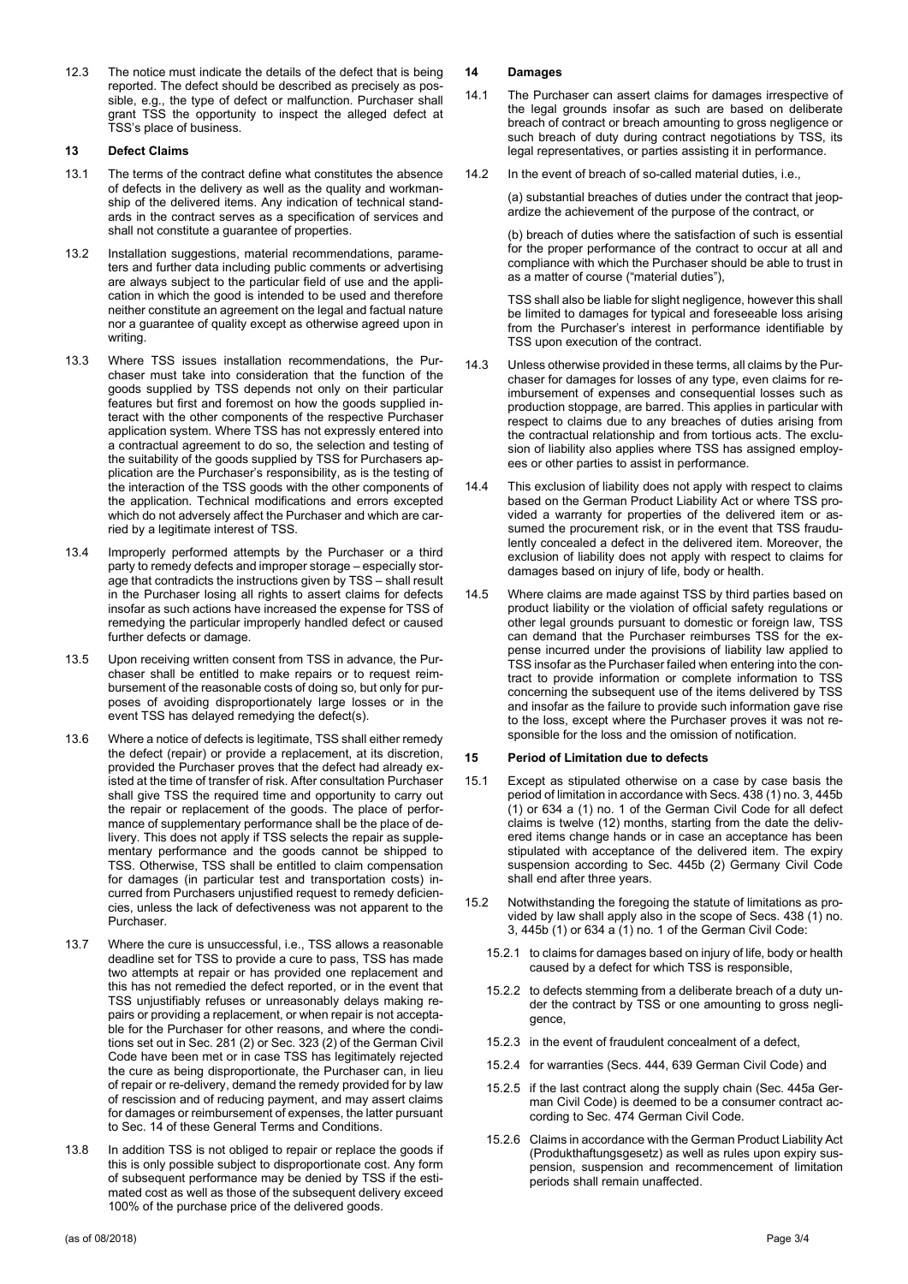12.3 The notice must indicate the details of the defect that is being reported. The defect should be described as precisely as possible, e.g., the type of defect or malfunction. Purchaser shall grant TSS the opportunity to inspect the alleged defect at TSS's place of business.

# **13 Defect Claims**

- 13.1 The terms of the contract define what constitutes the absence of defects in the delivery as well as the quality and workmanship of the delivered items. Any indication of technical standards in the contract serves as a specification of services and shall not constitute a guarantee of properties.
- 13.2 Installation suggestions, material recommendations, parameters and further data including public comments or advertising are always subject to the particular field of use and the application in which the good is intended to be used and therefore neither constitute an agreement on the legal and factual nature nor a guarantee of quality except as otherwise agreed upon in writing.
- 13.3 Where TSS issues installation recommendations, the Purchaser must take into consideration that the function of the goods supplied by TSS depends not only on their particular features but first and foremost on how the goods supplied interact with the other components of the respective Purchaser application system. Where TSS has not expressly entered into a contractual agreement to do so, the selection and testing of the suitability of the goods supplied by TSS for Purchasers application are the Purchaser's responsibility, as is the testing of the interaction of the TSS goods with the other components of the application. Technical modifications and errors excepted which do not adversely affect the Purchaser and which are carried by a legitimate interest of TSS.
- 13.4 Improperly performed attempts by the Purchaser or a third party to remedy defects and improper storage – especially storage that contradicts the instructions given by TSS – shall result in the Purchaser losing all rights to assert claims for defects insofar as such actions have increased the expense for TSS of remedying the particular improperly handled defect or caused further defects or damage.
- 13.5 Upon receiving written consent from TSS in advance, the Purchaser shall be entitled to make repairs or to request reimbursement of the reasonable costs of doing so, but only for purposes of avoiding disproportionately large losses or in the event TSS has delayed remedying the defect(s).
- 13.6 Where a notice of defects is legitimate, TSS shall either remedy the defect (repair) or provide a replacement, at its discretion, provided the Purchaser proves that the defect had already existed at the time of transfer of risk. After consultation Purchaser shall give TSS the required time and opportunity to carry out the repair or replacement of the goods. The place of performance of supplementary performance shall be the place of delivery. This does not apply if TSS selects the repair as supplementary performance and the goods cannot be shipped to TSS. Otherwise, TSS shall be entitled to claim compensation for damages (in particular test and transportation costs) incurred from Purchasers unjustified request to remedy deficiencies, unless the lack of defectiveness was not apparent to the **Purchaser.**
- 13.7 Where the cure is unsuccessful, i.e., TSS allows a reasonable deadline set for TSS to provide a cure to pass, TSS has made two attempts at repair or has provided one replacement and this has not remedied the defect reported, or in the event that TSS unjustifiably refuses or unreasonably delays making repairs or providing a replacement, or when repair is not acceptable for the Purchaser for other reasons, and where the conditions set out in Sec. 281 (2) or Sec. 323 (2) of the German Civil Code have been met or in case TSS has legitimately rejected the cure as being disproportionate, the Purchaser can, in lieu of repair or re-delivery, demand the remedy provided for by law of rescission and of reducing payment, and may assert claims for damages or reimbursement of expenses, the latter pursuant to Sec. 14 of these General Terms and Conditions.
- 13.8 In addition TSS is not obliged to repair or replace the goods if this is only possible subject to disproportionate cost. Any form of subsequent performance may be denied by TSS if the estimated cost as well as those of the subsequent delivery exceed 100% of the purchase price of the delivered goods.

# **14 Damages**

- 14.1 The Purchaser can assert claims for damages irrespective of the legal grounds insofar as such are based on deliberate breach of contract or breach amounting to gross negligence or such breach of duty during contract negotiations by TSS, its legal representatives, or parties assisting it in performance.
- 14.2 In the event of breach of so-called material duties, i.e.,

(a) substantial breaches of duties under the contract that jeopardize the achievement of the purpose of the contract, or

(b) breach of duties where the satisfaction of such is essential for the proper performance of the contract to occur at all and compliance with which the Purchaser should be able to trust in as a matter of course ("material duties"),

TSS shall also be liable for slight negligence, however this shall be limited to damages for typical and foreseeable loss arising from the Purchaser's interest in performance identifiable by TSS upon execution of the contract.

- 14.3 Unless otherwise provided in these terms, all claims by the Purchaser for damages for losses of any type, even claims for reimbursement of expenses and consequential losses such as production stoppage, are barred. This applies in particular with respect to claims due to any breaches of duties arising from the contractual relationship and from tortious acts. The exclusion of liability also applies where TSS has assigned employees or other parties to assist in performance.
- 14.4 This exclusion of liability does not apply with respect to claims based on the German Product Liability Act or where TSS provided a warranty for properties of the delivered item or assumed the procurement risk, or in the event that TSS fraudulently concealed a defect in the delivered item. Moreover, the exclusion of liability does not apply with respect to claims for damages based on injury of life, body or health.
- 14.5 Where claims are made against TSS by third parties based on product liability or the violation of official safety regulations or other legal grounds pursuant to domestic or foreign law, TSS can demand that the Purchaser reimburses TSS for the expense incurred under the provisions of liability law applied to TSS insofar as the Purchaser failed when entering into the contract to provide information or complete information to TSS concerning the subsequent use of the items delivered by TSS and insofar as the failure to provide such information gave rise to the loss, except where the Purchaser proves it was not responsible for the loss and the omission of notification.

## **15 Period of Limitation due to defects**

- 15.1 Except as stipulated otherwise on a case by case basis the period of limitation in accordance with Secs. 438 (1) no. 3, 445b (1) or 634 a (1) no. 1 of the German Civil Code for all defect claims is twelve (12) months, starting from the date the delivered items change hands or in case an acceptance has been stipulated with acceptance of the delivered item. The expiry suspension according to Sec. 445b (2) Germany Civil Code shall end after three years.
- 15.2 Notwithstanding the foregoing the statute of limitations as provided by law shall apply also in the scope of Secs. 438 (1) no. 3, 445b (1) or 634 a (1) no. 1 of the German Civil Code:
	- 15.2.1 to claims for damages based on injury of life, body or health caused by a defect for which TSS is responsible,
	- 15.2.2 to defects stemming from a deliberate breach of a duty under the contract by TSS or one amounting to gross negligence,
	- 15.2.3 in the event of fraudulent concealment of a defect,
	- 15.2.4 for warranties (Secs. 444, 639 German Civil Code) and
	- 15.2.5 if the last contract along the supply chain (Sec. 445a German Civil Code) is deemed to be a consumer contract according to Sec. 474 German Civil Code.
	- 15.2.6 Claims in accordance with the German Product Liability Act (Produkthaftungsgesetz) as well as rules upon expiry suspension, suspension and recommencement of limitation periods shall remain unaffected.